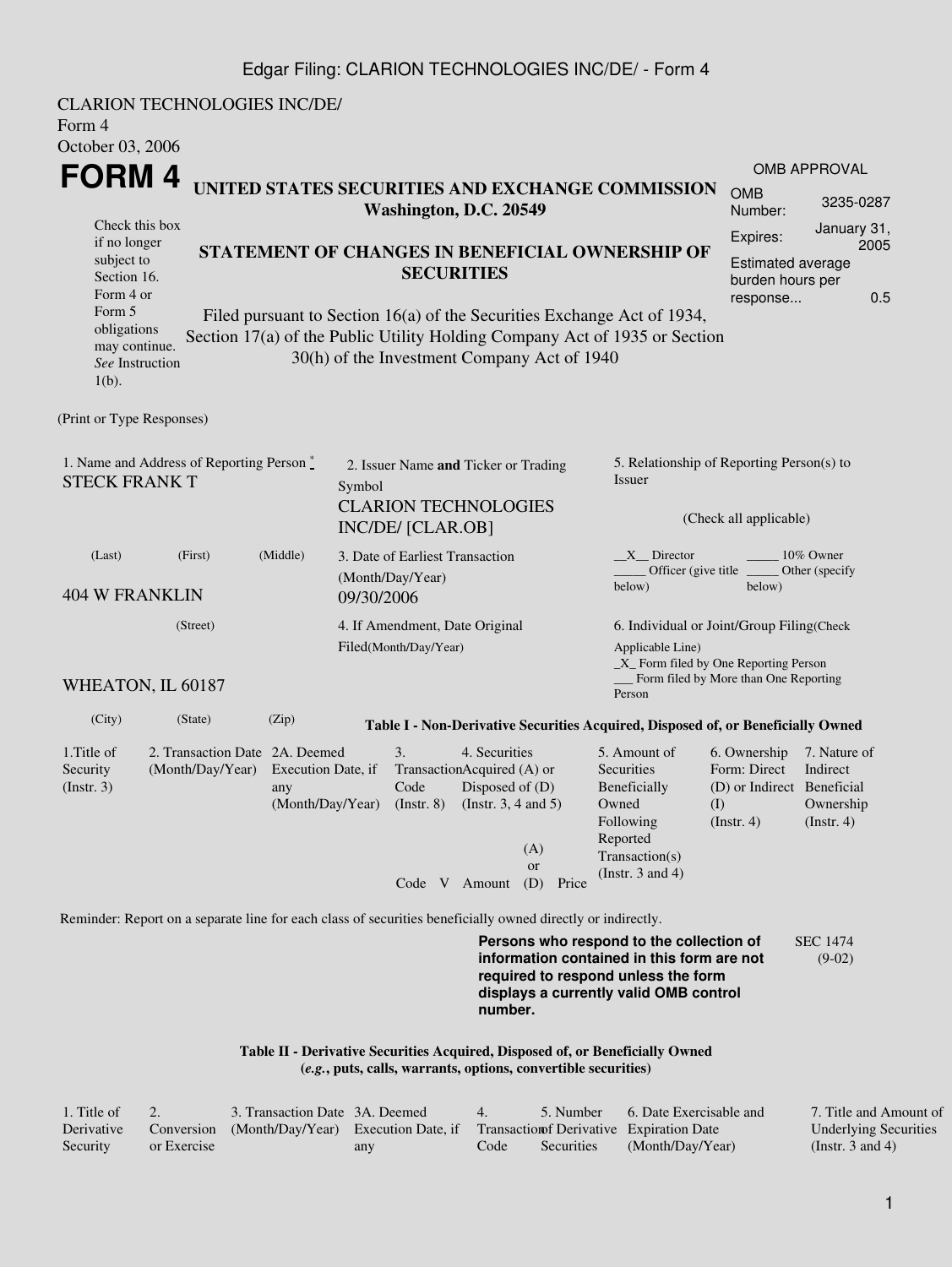## Edgar Filing: CLARION TECHNOLOGIES INC/DE/ - Form 4

CLARION TECHNOLOGIES INC/DE/ Form 4 October 03, 2006 **FORM 4** Check this box if no longer subject to Section 16. Form 4 or Form 5 obligations may continue. *See* Instruction 1(b). **UNITED STATES SECURITIES AND EXCHANGE COMMISSION Washington, D.C. 20549 STATEMENT OF CHANGES IN BENEFICIAL OWNERSHIP OF SECURITIES** Filed pursuant to Section 16(a) of the Securities Exchange Act of 1934, Section 17(a) of the Public Utility Holding Company Act of 1935 or Section 30(h) of the Investment Company Act of 1940 OMB APPROVAL OMB Number: 3235-0287 Expires: January 31, 2005 Estimated average burden hours per response... 0.5 (Print or Type Responses) 1. Name and Address of Reporting Person  $\degree$ STECK FRANK T 2. Issuer Name **and** Ticker or Trading Symbol CLARION TECHNOLOGIES INC/DE/ [CLAR.OB] 5. Relationship of Reporting Person(s) to Issuer (Check all applicable) \_X\_\_ Director \_\_\_\_\_\_\_\_ 10% Owner Officer (give title below) Other (specify below) (Last) (First) (Middle) 404 W FRANKLIN 3. Date of Earliest Transaction (Month/Day/Year) 09/30/2006 (Street) WHEATON, IL 60187 4. If Amendment, Date Original Filed(Month/Day/Year) 6. Individual or Joint/Group Filing(Check Applicable Line) \_X\_ Form filed by One Reporting Person Form filed by More than One Reporting Person (City) (State) (Zip) **Table I - Non-Derivative Securities Acquired, Disposed of, or Beneficially Owned** 1.Title of Security (Instr. 3) 2. Transaction Date 2A. Deemed (Month/Day/Year) Execution Date, if any (Month/Day/Year) 3. Transaction Acquired (A) or Code (Instr. 8) 4. Securities Disposed of (D) (Instr. 3, 4 and 5) 5. Amount of **Securities** Beneficially Owned Following Reported Transaction(s) (Instr. 3 and 4) 6. Ownership Form: Direct (D) or Indirect Beneficial (I) (Instr. 4) 7. Nature of Indirect Ownership (Instr. 4) Code V Amount (D) Price (A) or Reminder: Report on a separate line for each class of securities beneficially owned directly or indirectly. **Persons who respond to the collection of information contained in this form are not required to respond unless the form displays a currently valid OMB control number.** SEC 1474 (9-02) **Table II - Derivative Securities Acquired, Disposed of, or Beneficially Owned**

**(***e.g.***, puts, calls, warrants, options, convertible securities)**

| . Title of |             | 3. Transaction Date 3A. Deemed                                                        |     | 4    | 5. Number  | 6. Date Exercisable and | 7. Title and Amount of       |
|------------|-------------|---------------------------------------------------------------------------------------|-----|------|------------|-------------------------|------------------------------|
| Derivative |             | Conversion (Month/Day/Year) Execution Date, if Transaction Derivative Expiration Date |     |      |            |                         | <b>Underlying Securities</b> |
| Security   | or Exercise |                                                                                       | any | Code | Securities | (Month/Day/Year)        | (Instr. 3 and 4)             |